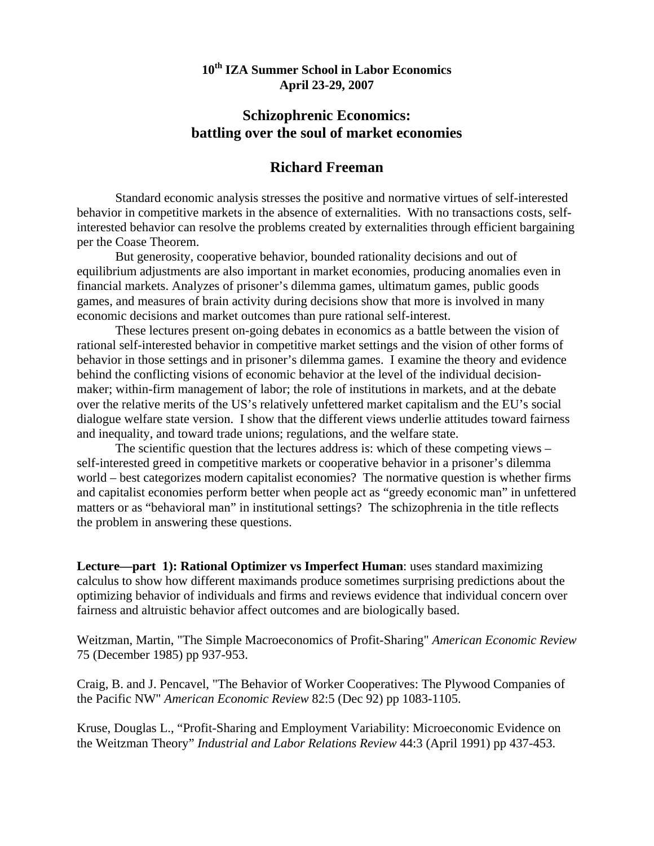## **10th IZA Summer School in Labor Economics April 23-29, 2007**

## **Schizophrenic Economics: battling over the soul of market economies**

## **Richard Freeman**

 Standard economic analysis stresses the positive and normative virtues of self-interested behavior in competitive markets in the absence of externalities. With no transactions costs, selfinterested behavior can resolve the problems created by externalities through efficient bargaining per the Coase Theorem.

 But generosity, cooperative behavior, bounded rationality decisions and out of equilibrium adjustments are also important in market economies, producing anomalies even in financial markets. Analyzes of prisoner's dilemma games, ultimatum games, public goods games, and measures of brain activity during decisions show that more is involved in many economic decisions and market outcomes than pure rational self-interest.

 These lectures present on-going debates in economics as a battle between the vision of rational self-interested behavior in competitive market settings and the vision of other forms of behavior in those settings and in prisoner's dilemma games. I examine the theory and evidence behind the conflicting visions of economic behavior at the level of the individual decisionmaker; within-firm management of labor; the role of institutions in markets, and at the debate over the relative merits of the US's relatively unfettered market capitalism and the EU's social dialogue welfare state version. I show that the different views underlie attitudes toward fairness and inequality, and toward trade unions; regulations, and the welfare state.

 The scientific question that the lectures address is: which of these competing views – self-interested greed in competitive markets or cooperative behavior in a prisoner's dilemma world – best categorizes modern capitalist economies? The normative question is whether firms and capitalist economies perform better when people act as "greedy economic man" in unfettered matters or as "behavioral man" in institutional settings? The schizophrenia in the title reflects the problem in answering these questions.

**Lecture—part 1): Rational Optimizer vs Imperfect Human**: uses standard maximizing calculus to show how different maximands produce sometimes surprising predictions about the optimizing behavior of individuals and firms and reviews evidence that individual concern over fairness and altruistic behavior affect outcomes and are biologically based.

Weitzman, Martin, "The Simple Macroeconomics of Profit-Sharing" *American Economic Review* 75 (December 1985) pp 937-953.

Craig, B. and J. Pencavel, "The Behavior of Worker Cooperatives: The Plywood Companies of the Pacific NW" *American Economic Review* 82:5 (Dec 92) pp 1083-1105.

Kruse, Douglas L., "Profit-Sharing and Employment Variability: Microeconomic Evidence on the Weitzman Theory" *Industrial and Labor Relations Review* 44:3 (April 1991) pp 437-453.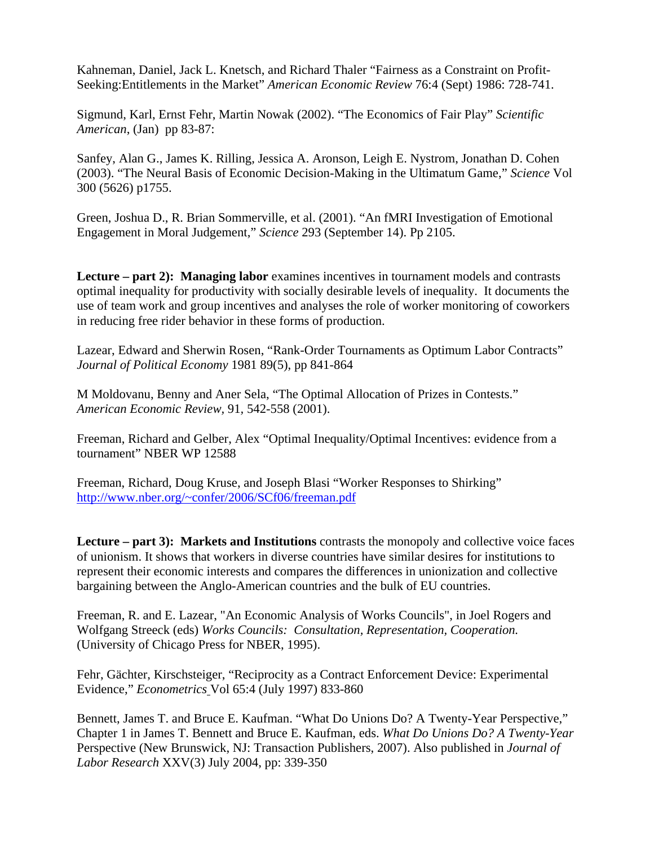Kahneman, Daniel, Jack L. Knetsch, and Richard Thaler "Fairness as a Constraint on Profit-Seeking:Entitlements in the Market" *American Economic Review* 76:4 (Sept) 1986: 728-741.

Sigmund, Karl, Ernst Fehr, Martin Nowak (2002). "The Economics of Fair Play" *Scientific American*, (Jan) pp 83-87:

Sanfey, Alan G., James K. Rilling, Jessica A. Aronson, Leigh E. Nystrom, Jonathan D. Cohen (2003). "The Neural Basis of Economic Decision-Making in the Ultimatum Game," *Science* Vol 300 (5626) p1755.

 Green, Joshua D., R. Brian Sommerville, et al. (2001). "An fMRI Investigation of Emotional Engagement in Moral Judgement," *Science* 293 (September 14). Pp 2105.

**Lecture – part 2): Managing labor** examines incentives in tournament models and contrasts optimal inequality for productivity with socially desirable levels of inequality. It documents the use of team work and group incentives and analyses the role of worker monitoring of coworkers in reducing free rider behavior in these forms of production.

 Lazear, Edward and Sherwin Rosen, "Rank-Order Tournaments as Optimum Labor Contracts" *Journal of Political Economy* 1981 89(5), pp 841-864

 M Moldovanu, Benny and Aner Sela, "The Optimal Allocation of Prizes in Contests."  *American Economic Review,* 91*,* 542-558 (2001).

 Freeman, Richard and Gelber, Alex "Optimal Inequality/Optimal Incentives: evidence from a tournament" NBER WP 12588

Freeman, Richard, Doug Kruse, and Joseph Blasi "Worker Responses to Shirking" <http://www.nber.org/~confer/2006/SCf06/freeman.pdf>

**Lecture – part 3): Markets and Institutions** contrasts the monopoly and collective voice faces of unionism. It shows that workers in diverse countries have similar desires for institutions to represent their economic interests and compares the differences in unionization and collective bargaining between the Anglo-American countries and the bulk of EU countries.

Freeman, R. and E. Lazear, "An Economic Analysis of Works Councils", in Joel Rogers and Wolfgang Streeck (eds) *Works Councils: Consultation, Representation, Cooperation.* (University of Chicago Press for NBER, 1995).

 Fehr, Gächter, Kirschsteiger, "Reciprocity as a Contract Enforcement Device: Experimental Evidence," *Econometrics* Vol 65:4 (July 1997) 833-860

Bennett, James T. and Bruce E. Kaufman. "What Do Unions Do? A Twenty-Year Perspective," Chapter 1 in James T. Bennett and Bruce E. Kaufman, eds. *What Do Unions Do? A Twenty-Year*  Perspective (New Brunswick, NJ: Transaction Publishers, 2007). Also published in *Journal of Labor Research* XXV(3) July 2004, pp: 339-350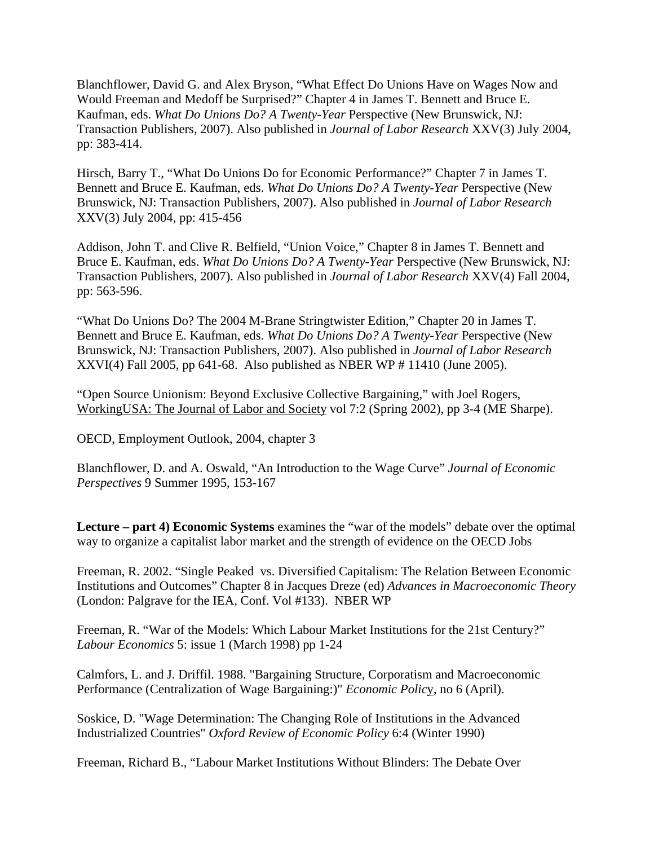Blanchflower, David G. and Alex Bryson, "What Effect Do Unions Have on Wages Now and Would Freeman and Medoff be Surprised?" Chapter 4 in James T. Bennett and Bruce E. Kaufman, eds. *What Do Unions Do? A Twenty-Year* Perspective (New Brunswick, NJ: Transaction Publishers, 2007). Also published in *Journal of Labor Research* XXV(3) July 2004, pp: 383-414.

Hirsch, Barry T., "What Do Unions Do for Economic Performance?" Chapter 7 in James T. Bennett and Bruce E. Kaufman, eds. *What Do Unions Do? A Twenty-Year* Perspective (New Brunswick, NJ: Transaction Publishers, 2007). Also published in *Journal of Labor Research* XXV(3) July 2004, pp: 415-456

Addison, John T. and Clive R. Belfield, "Union Voice," Chapter 8 in James T. Bennett and Bruce E. Kaufman, eds. *What Do Unions Do? A Twenty-Year* Perspective (New Brunswick, NJ: Transaction Publishers, 2007). Also published in *Journal of Labor Research* XXV(4) Fall 2004, pp: 563-596.

"What Do Unions Do? The 2004 M-Brane Stringtwister Edition," Chapter 20 in James T. Bennett and Bruce E. Kaufman, eds. *What Do Unions Do? A Twenty-Year* Perspective (New Brunswick, NJ: Transaction Publishers, 2007). Also published in *Journal of Labor Research* XXVI(4) Fall 2005, pp 641-68. Also published as NBER WP # 11410 (June 2005).

 "Open Source Unionism: Beyond Exclusive Collective Bargaining," with Joel Rogers, WorkingUSA: The Journal of Labor and Society vol 7:2 (Spring 2002), pp 3-4 (ME Sharpe).

OECD, Employment Outlook, 2004, chapter 3

 Blanchflower, D. and A. Oswald, "An Introduction to the Wage Curve" *Journal of Economic Perspectives* 9 Summer 1995, 153-167

**Lecture – part 4) Economic Systems** examines the "war of the models" debate over the optimal way to organize a capitalist labor market and the strength of evidence on the OECD Jobs

Freeman, R. 2002. "Single Peaked vs. Diversified Capitalism: The Relation Between Economic Institutions and Outcomes" Chapter 8 in Jacques Dreze (ed) *Advances in Macroeconomic Theory* (London: Palgrave for the IEA, Conf. Vol #133). NBER WP

 Freeman, R. "War of the Models: Which Labour Market Institutions for the 21st Century?" *Labour Economics* 5: issue 1 (March 1998) pp 1-24

 Calmfors, L. and J. Driffil. 1988. "Bargaining Structure, Corporatism and Macroeconomic Performance (Centralization of Wage Bargaining:)" *Economic Polic*y, no 6 (April).

 Soskice, D. "Wage Determination: The Changing Role of Institutions in the Advanced Industrialized Countries" *Oxford Review of Economic Policy* 6:4 (Winter 1990)

Freeman, Richard B., "Labour Market Institutions Without Blinders: The Debate Over